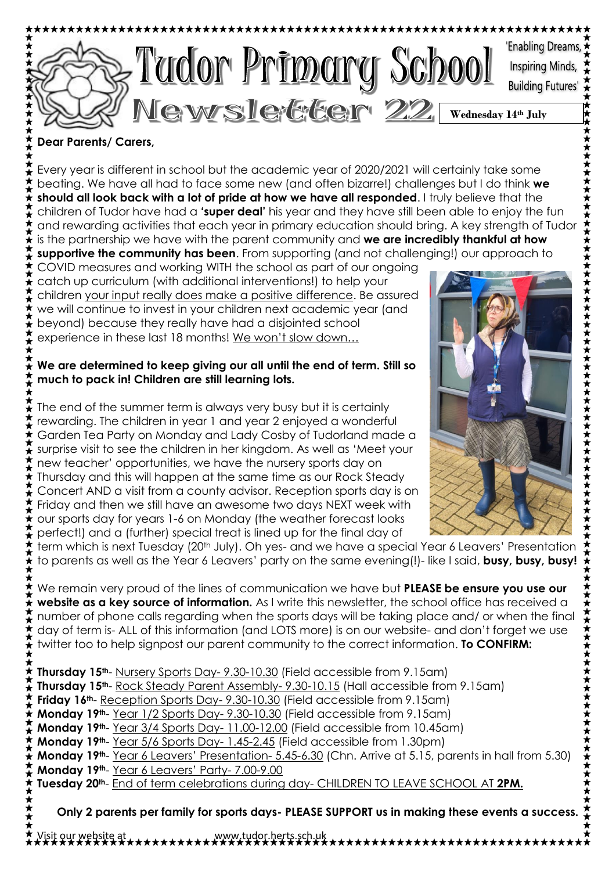

### **Dear Parents/ Carers,**

 $\ddot{\bm{\star}}$ 

Every year is different in school but the academic year of 2020/2021 will certainly take some beating. We have all had to face some new (and often bizarre!) challenges but I do think **we should all look back with a lot of pride at how we have all responded**. I truly believe that the children of Tudor have had a **'super deal'** his year and they have still been able to enjoy the fun and rewarding activities that each year in primary education should bring. A key strength of Tudor  $\mathbf{\hat{t}}$  is the partnership we have with the parent community and **we are incredibly thankful at how supportive the community has been**. From supporting (and not challenging!) our approach to

COVID measures and working WITH the school as part of our ongoing  $\mathbf{\hat{t}}$  catch up curriculum (with additional interventions!) to help your children your input really does make a positive difference. Be assured  $\star$  we will continue to invest in your children next academic year (and beyond) because they really have had a disjointed school experience in these last 18 months! We won't slow down…

### **We are determined to keep giving our all until the end of term. Still so much to pack in! Children are still learning lots.**

The end of the summer term is always very busy but it is certainly rewarding. The children in year 1 and year 2 enjoyed a wonderful Garden Tea Party on Monday and Lady Cosby of Tudorland made a  $\frac{\pi}{\bullet}$  surprise visit to see the children in her kingdom. As well as 'Meet your new teacher' opportunities, we have the nursery sports day on Thursday and this will happen at the same time as our Rock Steady Concert AND a visit from a county advisor. Reception sports day is on Friday and then we still have an awesome two days NEXT week with  $\hat{\star}$  our sports day for years 1-6 on Monday (the weather forecast looks perfect!) and a (further) special treat is lined up for the final day of



term which is next Tuesday (20<sup>th</sup> July). Oh yes- and we have a special Year 6 Leavers' Presentation ⊁ to parents as well as the Year 6 Leavers' party on the same evening(!)- like I said, **busy, busy, busy!**

We remain very proud of the lines of communication we have but **PLEASE be ensure you use our website as a key source of information.** As I write this newsletter, the school office has received a number of phone calls regarding when the sports days will be taking place and/ or when the final day of term is- ALL of this information (and LOTS more) is on our website- and don't forget we use twitter too to help signpost our parent community to the correct information. **To CONFIRM:**

 $\star$ **Thursday 15th**- Nursery Sports Day- 9.30-10.30 (Field accessible from 9.15am) **Thursday 15th**- Rock Steady Parent Assembly- 9.30-10.15 (Hall accessible from 9.15am) **Friday 16th**- Reception Sports Day- 9.30-10.30 (Field accessible from 9.15am) **Monday 19th**- Year 1/2 Sports Day- 9.30-10.30 (Field accessible from 9.15am) **Monday 19th**- Year 3/4 Sports Day- 11.00-12.00 (Field accessible from 10.45am) **Monday 19th**- Year 5/6 Sports Day- 1.45-2.45 (Field accessible from 1.30pm) **Monday 19th**- Year 6 Leavers' Presentation- 5.45-6.30 (Chn. Arrive at 5.15, parents in hall from 5.30) **Monday 19th**- Year 6 Leavers' Party- 7.00-9.00 **Tuesday 20th**- End of term celebrations during day- CHILDREN TO LEAVE SCHOOL AT **2PM.**

**Only 2 parents per family for sports days- PLEASE SUPPORT us in making these events a success.**

Visit our website at www.tudor.herts.sch.uk